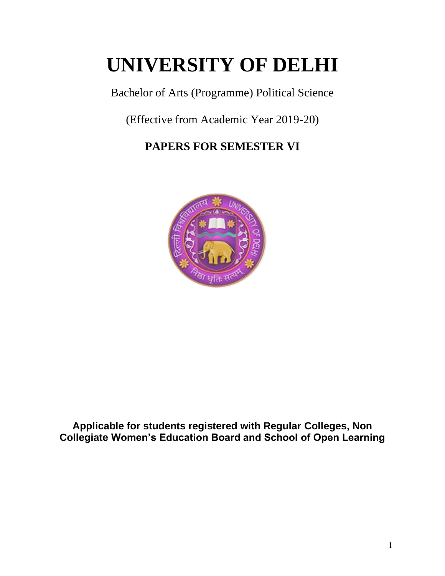# **UNIVERSITY OF DELHI**

Bachelor of Arts (Programme) Political Science

(Effective from Academic Year 2019-20)

# **PAPERS FOR SEMESTER VI**



**Applicable for students registered with Regular Colleges, Non Collegiate Women's Education Board and School of Open Learning**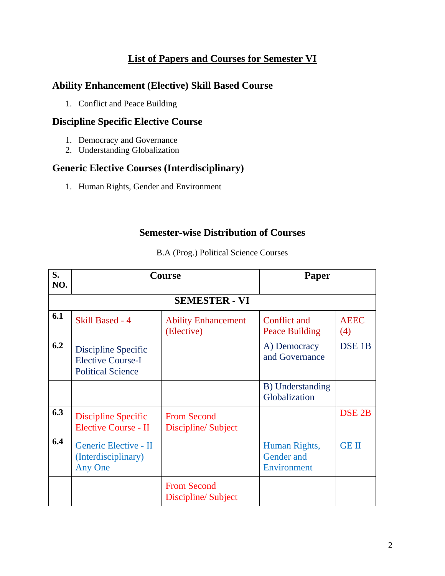### **List of Papers and Courses for Semester VI**

### **Ability Enhancement (Elective) Skill Based Course**

1. Conflict and Peace Building

### **Discipline Specific Elective Course**

- 1. Democracy and Governance
- 2. Understanding Globalization

### **Generic Elective Courses (Interdisciplinary)**

1. Human Rights, Gender and Environment

### **Semester-wise Distribution of Courses**

| S.<br>NO. | <b>Course</b>                                                               |                                          | Paper                                        |                    |  |
|-----------|-----------------------------------------------------------------------------|------------------------------------------|----------------------------------------------|--------------------|--|
|           | <b>SEMESTER - VI</b>                                                        |                                          |                                              |                    |  |
| 6.1       | <b>Skill Based - 4</b>                                                      | <b>Ability Enhancement</b><br>(Elective) | <b>Conflict and</b><br><b>Peace Building</b> | <b>AEEC</b><br>(4) |  |
| 6.2       | Discipline Specific<br><b>Elective Course-I</b><br><b>Political Science</b> |                                          | A) Democracy<br>and Governance               | DSE <sub>1B</sub>  |  |
|           |                                                                             |                                          | B) Understanding<br>Globalization            |                    |  |
| 6.3       | Discipline Specific<br>Elective Course - II                                 | <b>From Second</b><br>Discipline/Subject |                                              | DSE <sub>2B</sub>  |  |
| 6.4       | Generic Elective - II<br>(Interdisciplinary)<br><b>Any One</b>              |                                          | Human Rights,<br>Gender and<br>Environment   | <b>GE II</b>       |  |
|           |                                                                             | <b>From Second</b><br>Discipline/Subject |                                              |                    |  |

B.A (Prog.) Political Science Courses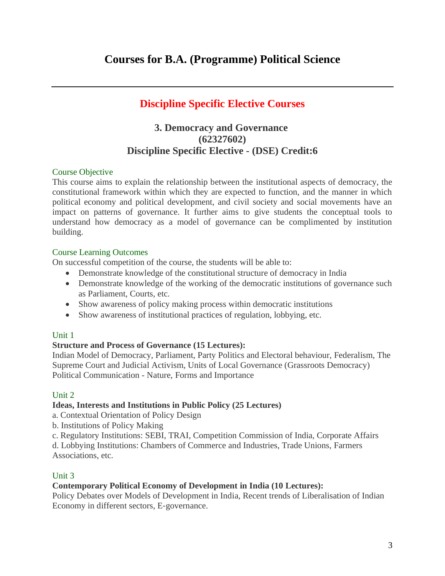## **Courses for B.A. (Programme) Political Science**

### **Discipline Specific Elective Courses**

### **3. Democracy and Governance (62327602) Discipline Specific Elective - (DSE) Credit:6**

### Course Objective

This course aims to explain the relationship between the institutional aspects of democracy, the constitutional framework within which they are expected to function, and the manner in which political economy and political development, and civil society and social movements have an impact on patterns of governance. It further aims to give students the conceptual tools to understand how democracy as a model of governance can be complimented by institution building.

### Course Learning Outcomes

On successful competition of the course, the students will be able to:

- Demonstrate knowledge of the constitutional structure of democracy in India
- Demonstrate knowledge of the working of the democratic institutions of governance such as Parliament, Courts, etc.
- Show awareness of policy making process within democratic institutions
- Show awareness of institutional practices of regulation, lobbying, etc.

### Unit 1

### **Structure and Process of Governance (15 Lectures):**

Indian Model of Democracy, Parliament, Party Politics and Electoral behaviour, Federalism, The Supreme Court and Judicial Activism, Units of Local Governance (Grassroots Democracy) Political Communication - Nature, Forms and Importance

### Unit 2

### **Ideas, Interests and Institutions in Public Policy (25 Lectures)**

a. Contextual Orientation of Policy Design

b. Institutions of Policy Making

c. Regulatory Institutions: SEBI, TRAI, Competition Commission of India, Corporate Affairs d. Lobbying Institutions: Chambers of Commerce and Industries, Trade Unions, Farmers Associations, etc.

### Unit 3

### **Contemporary Political Economy of Development in India (10 Lectures):**

Policy Debates over Models of Development in India, Recent trends of Liberalisation of Indian Economy in different sectors, E‐governance.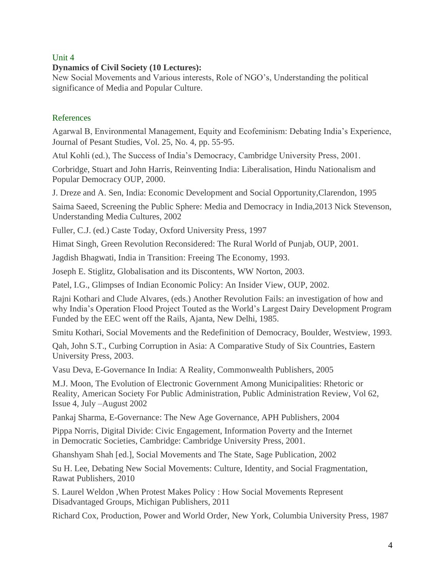### Unit 4

### **Dynamics of Civil Society (10 Lectures):**

New Social Movements and Various interests, Role of NGO's, Understanding the political significance of Media and Popular Culture.

### References

Agarwal B, Environmental Management, Equity and Ecofeminism: Debating India's Experience, Journal of Pesant Studies, Vol. 25, No. 4, pp. 55‐95.

Atul Kohli (ed.), The Success of India's Democracy, Cambridge University Press, 2001.

Corbridge, Stuart and John Harris, Reinventing India: Liberalisation, Hindu Nationalism and Popular Democracy OUP, 2000.

J. Dreze and A. Sen, India: Economic Development and Social Opportunity,Clarendon, 1995

Saima Saeed, Screening the Public Sphere: Media and Democracy in India,2013 Nick Stevenson, Understanding Media Cultures, 2002

Fuller, C.J. (ed.) Caste Today, Oxford University Press, 1997

Himat Singh, Green Revolution Reconsidered: The Rural World of Punjab, OUP, 2001.

Jagdish Bhagwati, India in Transition: Freeing The Economy, 1993.

Joseph E. Stiglitz, Globalisation and its Discontents, WW Norton, 2003.

Patel, I.G., Glimpses of Indian Economic Policy: An Insider View, OUP, 2002.

Rajni Kothari and Clude Alvares, (eds.) Another Revolution Fails: an investigation of how and why India's Operation Flood Project Touted as the World's Largest Dairy Development Program Funded by the EEC went off the Rails, Ajanta, New Delhi, 1985.

Smitu Kothari, Social Movements and the Redefinition of Democracy, Boulder, Westview, 1993.

Qah, John S.T., Curbing Corruption in Asia: A Comparative Study of Six Countries, Eastern University Press, 2003.

Vasu Deva, E-Governance In India: A Reality, Commonwealth Publishers, 2005

M.J. Moon, The Evolution of Electronic Government Among Municipalities: Rhetoric or Reality, American Society For Public Administration, Public Administration Review, Vol 62, Issue 4, July –August 2002

Pankaj Sharma, E-Governance: The New Age Governance, APH Publishers, 2004

Pippa Norris, Digital Divide: Civic Engagement, Information Poverty and the Internet in Democratic Societies, Cambridge: Cambridge University Press, 2001.

Ghanshyam Shah [ed.], Social Movements and The State, Sage Publication, 2002

Su H. Lee, Debating New Social Movements: Culture, Identity, and Social Fragmentation, Rawat Publishers, 2010

S. Laurel Weldon ,When Protest Makes Policy : How Social Movements Represent Disadvantaged Groups, Michigan Publishers, 2011

Richard Cox, Production, Power and World Order, New York, Columbia University Press, 1987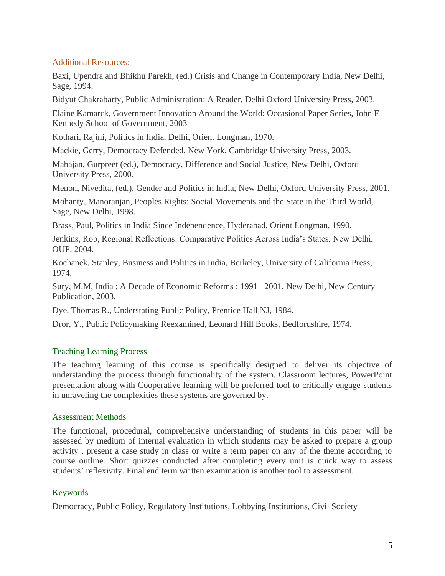### Additional Resources:

Baxi, Upendra and Bhikhu Parekh, (ed.) Crisis and Change in Contemporary India, New Delhi, Sage, 1994.

Bidyut Chakrabarty, Public Administration: A Reader, Delhi Oxford University Press, 2003.

Elaine Kamarck, Government Innovation Around the World: Occasional Paper Series, John F Kennedy School of Government, 2003

Kothari, Rajini, Politics in India, Delhi, Orient Longman, 1970.

Mackie, Gerry, Democracy Defended, New York, Cambridge University Press, 2003.

Mahajan, Gurpreet (ed.), Democracy, Difference and Social Justice, New Delhi, Oxford University Press, 2000.

Menon, Nivedita, (ed.), Gender and Politics in India, New Delhi, Oxford University Press, 2001.

Mohanty, Manoranjan, Peoples Rights: Social Movements and the State in the Third World, Sage, New Delhi, 1998.

Brass, Paul, Politics in India Since Independence, Hyderabad, Orient Longman, 1990.

Jenkins, Rob, Regional Reflections: Comparative Politics Across India's States, New Delhi, OUP, 2004.

Kochanek, Stanley, Business and Politics in India, Berkeley, University of California Press, 1974.

Sury, M.M, India : A Decade of Economic Reforms : 1991 –2001, New Delhi, New Century Publication, 2003.

Dye, Thomas R., Understating Public Policy, Prentice Hall NJ, 1984.

Dror, Y., Public Policymaking Reexamined, Leonard Hill Books, Bedfordshire, 1974.

### Teaching Learning Process

The teaching learning of this course is specifically designed to deliver its objective of understanding the process through functionality of the system. Classroom lectures, PowerPoint presentation along with Cooperative learning will be preferred tool to critically engage students in unraveling the complexities these systems are governed by.

### Assessment Methods

The functional, procedural, comprehensive understanding of students in this paper will be assessed by medium of internal evaluation in which students may be asked to prepare a group activity , present a case study in class or write a term paper on any of the theme according to course outline. Short quizzes conducted after completing every unit is quick way to assess students' reflexivity. Final end term written examination is another tool to assessment.

### Keywords

Democracy, Public Policy, Regulatory Institutions, Lobbying Institutions, Civil Society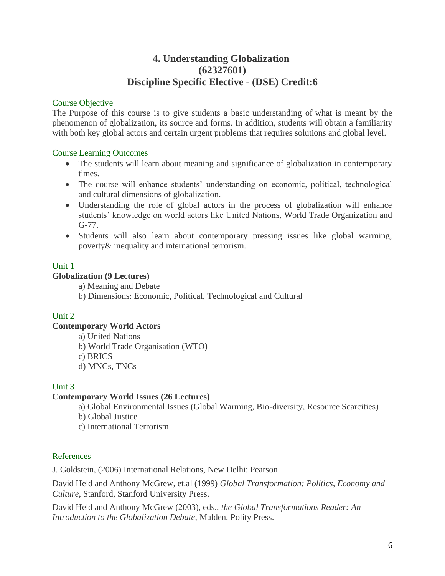### **4. Understanding Globalization (62327601) Discipline Specific Elective - (DSE) Credit:6**

### Course Objective

The Purpose of this course is to give students a basic understanding of what is meant by the phenomenon of globalization, its source and forms. In addition, students will obtain a familiarity with both key global actors and certain urgent problems that requires solutions and global level.

### Course Learning Outcomes

- The students will learn about meaning and significance of globalization in contemporary times.
- The course will enhance students' understanding on economic, political, technological and cultural dimensions of globalization.
- Understanding the role of global actors in the process of globalization will enhance students' knowledge on world actors like United Nations, World Trade Organization and G-77.
- Students will also learn about contemporary pressing issues like global warming, poverty& inequality and international terrorism.

### Unit 1

### **Globalization (9 Lectures)**

a) Meaning and Debate b) Dimensions: Economic, Political, Technological and Cultural

### Unit 2

### **Contemporary World Actors**

a) United Nations b) World Trade Organisation (WTO) c) BRICS d) MNCs, TNCs

### Unit 3

### **Contemporary World Issues (26 Lectures)**

a) Global Environmental Issues (Global Warming, Bio-diversity, Resource Scarcities)

- b) Global Justice
- c) International Terrorism

### References

J. Goldstein, (2006) International Relations, New Delhi: Pearson.

David Held and Anthony McGrew, et.al (1999) *Global Transformation: Politics, Economy and Culture*, Stanford, Stanford University Press.

David Held and Anthony McGrew (2003), eds., *the Global Transformations Reader: An Introduction to the Globalization Debate*, Malden, Polity Press.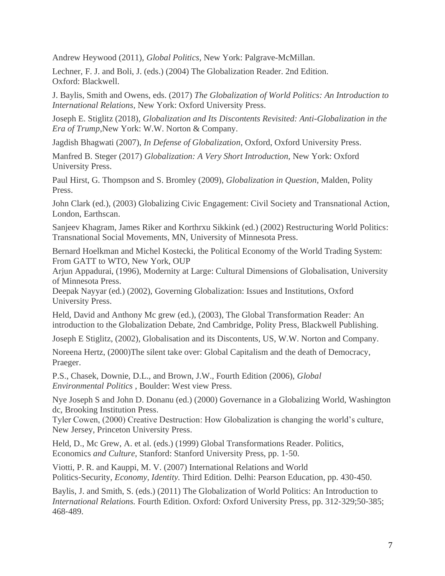Andrew Heywood (2011), *Global Politics,* New York: Palgrave-McMillan.

Lechner, F. J. and Boli, J. (eds.) (2004) The Globalization Reader. 2nd Edition. Oxford: Blackwell.

J. Baylis, Smith and Owens, eds. (2017) *The Globalization of World Politics: An Introduction to International Relations,* New York: Oxford University Press.

Joseph E. Stiglitz (2018), *Globalization and Its Discontents Revisited: Anti-Globalization in the Era of Trump*,New York: W.W. Norton & Company.

Jagdish Bhagwati (2007), *In Defense of Globalization*, Oxford, Oxford University Press.

Manfred B. Steger (2017) *Globalization: A Very Short Introduction,* New York: Oxford University Press.

Paul Hirst, G. Thompson and S. Bromley (2009), *Globalization in Question*, Malden, Polity Press.

John Clark (ed.), (2003) Globalizing Civic Engagement: Civil Society and Transnational Action, London, Earthscan.

Sanjeev Khagram, James Riker and Korthrxu Sikkink (ed.) (2002) Restructuring World Politics: Transnational Social Movements, MN, University of Minnesota Press.

Bernard Hoelkman and Michel Kostecki, the Political Economy of the World Trading System: From GATT to WTO, New York, OUP

Arjun Appadurai, (1996), Modernity at Large: Cultural Dimensions of Globalisation, University of Minnesota Press.

Deepak Nayyar (ed.) (2002), Governing Globalization: Issues and Institutions, Oxford University Press.

Held, David and Anthony Mc grew (ed.), (2003), The Global Transformation Reader: An introduction to the Globalization Debate, 2nd Cambridge, Polity Press, Blackwell Publishing.

Joseph E Stiglitz, (2002), Globalisation and its Discontents, US, W.W. Norton and Company.

Noreena Hertz, (2000)The silent take over: Global Capitalism and the death of Democracy, Praeger.

P.S., Chasek, Downie, D.L., and Brown, J.W., Fourth Edition (2006), *Global Environmental Politics* , Boulder: West view Press.

Nye Joseph S and John D. Donanu (ed.) (2000) Governance in a Globalizing World, Washington dc, Brooking Institution Press.

Tyler Cowen, (2000) Creative Destruction: How Globalization is changing the world's culture, New Jersey, Princeton University Press.

Held, D., Mc Grew, A. et al. (eds.) (1999) Global Transformations Reader. Politics, Economics *and Culture*, Stanford: Stanford University Press, pp. 1‐50.

Viotti, P. R. and Kauppi, M. V. (2007) International Relations and World Politics‐Security, *Economy, Identity.* Third Edition. Delhi: Pearson Education, pp. 430‐450.

Baylis, J. and Smith, S. (eds.) (2011) The Globalization of World Politics: An Introduction to *International Relations.* Fourth Edition. Oxford: Oxford University Press, pp. 312‐329;50‐385; 468‐489.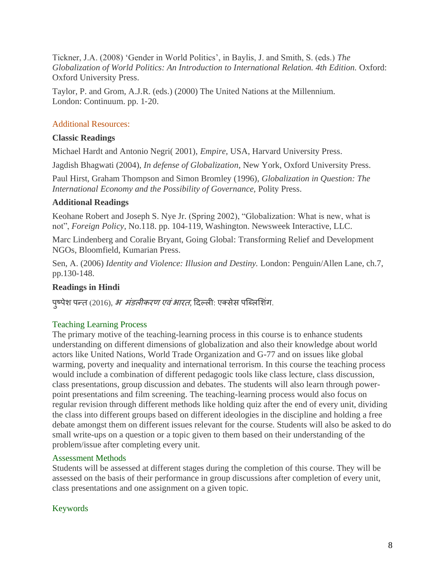Tickner, J.A. (2008) 'Gender in World Politics', in Baylis, J. and Smith, S. (eds.) *The Globalization of World Politics: An Introduction to International Relation. 4th Edition.* Oxford: Oxford University Press.

Taylor, P. and Grom, A.J.R. (eds.) (2000) The United Nations at the Millennium. London: Continuum. pp. 1‐20.

### Additional Resources:

### **Classic Readings**

Michael Hardt and Antonio Negri( 2001), *Empire,* USA, Harvard University Press.

Jagdish Bhagwati (2004), *In defense of Globalization*, New York, Oxford University Press.

Paul Hirst, Graham Thompson and Simon Bromley (1996), *Globalization in Question: The International Economy and the Possibility of Governance,* Polity Press.

### **Additional Readings**

Keohane Robert and Joseph S. Nye Jr. (Spring 2002), "Globalization: What is new, what is not", *Foreign Policy*, No.118. pp. 104-119, Washington. Newsweek Interactive, LLC.

Marc Lindenberg and Coralie Bryant, Going Global: Transforming Relief and Development NGOs, Bloomfield, Kumarian Press.

Sen, A. (2006) *Identity and Violence: Illusion and Destiny.* London: Penguin/Allen Lane, ch.7, pp.130-148.

### **Readings in Hindi**

पुष्पेश पन्त (2016), *भ मंडलीकरण एवं भारत*, दिल्ली: एक्सेस पब्लिशिंग.

### Teaching Learning Process

The primary motive of the teaching-learning process in this course is to enhance students understanding on different dimensions of globalization and also their knowledge about world actors like United Nations, World Trade Organization and G-77 and on issues like global warming, poverty and inequality and international terrorism. In this course the teaching process would include a combination of different pedagogic tools like class lecture, class discussion, class presentations, group discussion and debates. The students will also learn through powerpoint presentations and film screening. The teaching-learning process would also focus on regular revision through different methods like holding quiz after the end of every unit, dividing the class into different groups based on different ideologies in the discipline and holding a free debate amongst them on different issues relevant for the course. Students will also be asked to do small write-ups on a question or a topic given to them based on their understanding of the problem/issue after completing every unit.

### Assessment Methods

Students will be assessed at different stages during the completion of this course. They will be assessed on the basis of their performance in group discussions after completion of every unit, class presentations and one assignment on a given topic.

### Keywords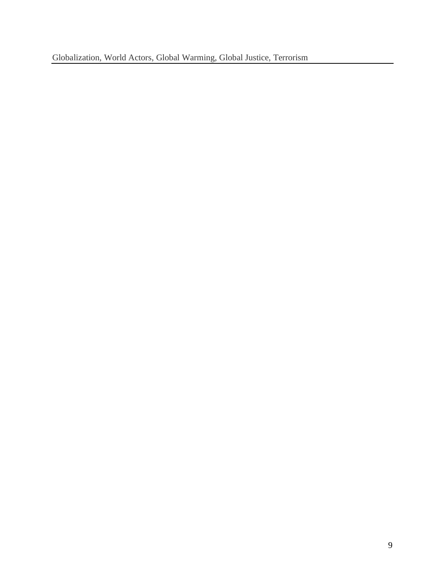Globalization, World Actors, Global Warming, Global Justice, Terrorism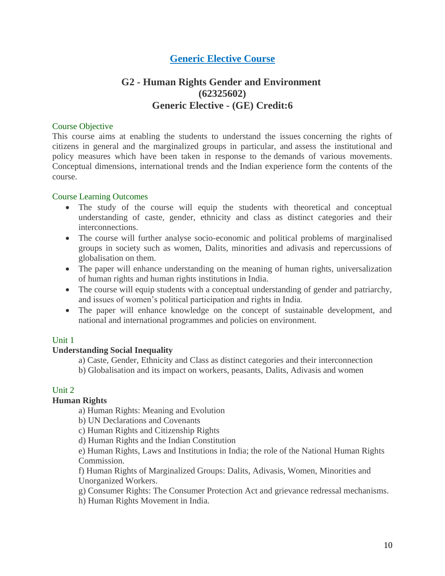### **Generic Elective Course**

### **G2 - Human Rights Gender and Environment (62325602) Generic Elective - (GE) Credit:6**

#### Course Objective

This course aims at enabling the students to understand the issues concerning the rights of citizens in general and the marginalized groups in particular, and assess the institutional and policy measures which have been taken in response to the demands of various movements. Conceptual dimensions, international trends and the Indian experience form the contents of the course.

#### Course Learning Outcomes

- The study of the course will equip the students with theoretical and conceptual understanding of caste, gender, ethnicity and class as distinct categories and their interconnections.
- The course will further analyse socio-economic and political problems of marginalised groups in society such as women, Dalits, minorities and adivasis and repercussions of globalisation on them.
- The paper will enhance understanding on the meaning of human rights, universalization of human rights and human rights institutions in India.
- The course will equip students with a conceptual understanding of gender and patriarchy, and issues of women's political participation and rights in India.
- The paper will enhance knowledge on the concept of sustainable development, and national and international programmes and policies on environment.

### Unit 1

### **Understanding Social Inequality**

a) Caste, Gender, Ethnicity and Class as distinct categories and their interconnection b) Globalisation and its impact on workers, peasants, Dalits, Adivasis and women

#### Unit 2

### **Human Rights**

a) Human Rights: Meaning and Evolution

b) UN Declarations and Covenants

c) Human Rights and Citizenship Rights

d) Human Rights and the Indian Constitution

e) Human Rights, Laws and Institutions in India; the role of the National Human Rights Commission.

f) Human Rights of Marginalized Groups: Dalits, Adivasis, Women, Minorities and Unorganized Workers.

g) Consumer Rights: The Consumer Protection Act and grievance redressal mechanisms.

h) Human Rights Movement in India.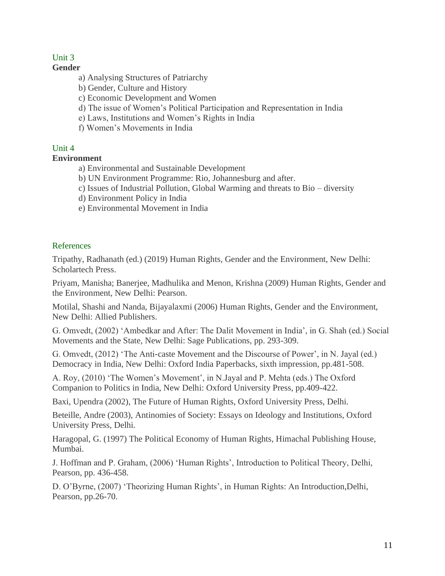#### Unit 3 **Gender**

a) Analysing Structures of Patriarchy

- b) Gender, Culture and History
- c) Economic Development and Women
- d) The issue of Women's Political Participation and Representation in India
- e) Laws, Institutions and Women's Rights in India
- f) Women's Movements in India

### Unit 4

### **Environment**

- a) Environmental and Sustainable Development
- b) UN Environment Programme: Rio, Johannesburg and after.
- c) Issues of Industrial Pollution, Global Warming and threats to Bio diversity
- d) Environment Policy in India
- e) Environmental Movement in India

### References

Tripathy, Radhanath (ed.) (2019) Human Rights, Gender and the Environment, New Delhi: Scholartech Press.

Priyam, Manisha; Banerjee, Madhulika and Menon, Krishna (2009) Human Rights, Gender and the Environment, New Delhi: Pearson.

Motilal, Shashi and Nanda, Bijayalaxmi (2006) Human Rights, Gender and the Environment, New Delhi: Allied Publishers.

G. Omvedt, (2002) 'Ambedkar and After: The Dalit Movement in India', in G. Shah (ed.) Social Movements and the State, New Delhi: Sage Publications, pp. 293-309.

G. Omvedt, (2012) 'The Anti-caste Movement and the Discourse of Power', in N. Jayal (ed.) Democracy in India, New Delhi: Oxford India Paperbacks, sixth impression, pp.481-508.

A. Roy, (2010) 'The Women's Movement', in N.Jayal and P. Mehta (eds.) The Oxford Companion to Politics in India, New Delhi: Oxford University Press, pp.409-422.

Baxi, Upendra (2002), The Future of Human Rights, Oxford University Press, Delhi.

Beteille, Andre (2003), Antinomies of Society: Essays on Ideology and Institutions, Oxford University Press, Delhi.

Haragopal, G. (1997) The Political Economy of Human Rights, Himachal Publishing House, Mumbai.

J. Hoffman and P. Graham, (2006) 'Human Rights', Introduction to Political Theory, Delhi, Pearson, pp. 436-458.

D. O'Byrne, (2007) 'Theorizing Human Rights', in Human Rights: An Introduction,Delhi, Pearson, pp.26-70.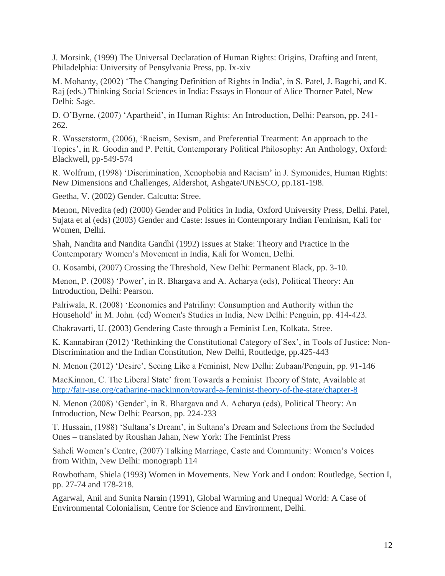J. Morsink, (1999) The Universal Declaration of Human Rights: Origins, Drafting and Intent, Philadelphia: University of Pensylvania Press, pp. Ix-xiv

M. Mohanty, (2002) 'The Changing Definition of Rights in India', in S. Patel, J. Bagchi, and K. Raj (eds.) Thinking Social Sciences in India: Essays in Honour of Alice Thorner Patel, New Delhi: Sage.

D. O'Byrne, (2007) 'Apartheid', in Human Rights: An Introduction, Delhi: Pearson, pp. 241- 262.

R. Wasserstorm, (2006), 'Racism, Sexism, and Preferential Treatment: An approach to the Topics', in R. Goodin and P. Pettit, Contemporary Political Philosophy: An Anthology, Oxford: Blackwell, pp-549-574

R. Wolfrum, (1998) 'Discrimination, Xenophobia and Racism' in J. Symonides, Human Rights: New Dimensions and Challenges, Aldershot, Ashgate/UNESCO, pp.181-198.

Geetha, V. (2002) Gender. Calcutta: Stree.

Menon, Nivedita (ed) (2000) Gender and Politics in India, Oxford University Press, Delhi. Patel, Sujata et al (eds) (2003) Gender and Caste: Issues in Contemporary Indian Feminism, Kali for Women, Delhi.

Shah, Nandita and Nandita Gandhi (1992) Issues at Stake: Theory and Practice in the Contemporary Women's Movement in India, Kali for Women, Delhi.

O. Kosambi, (2007) Crossing the Threshold, New Delhi: Permanent Black, pp. 3-10.

Menon, P. (2008) 'Power', in R. Bhargava and A. Acharya (eds), Political Theory: An Introduction, Delhi: Pearson.

Palriwala, R. (2008) 'Economics and Patriliny: Consumption and Authority within the Household' in M. John. (ed) Women's Studies in India, New Delhi: Penguin, pp. 414-423.

Chakravarti, U. (2003) Gendering Caste through a Feminist Len, Kolkata, Stree.

K. Kannabiran (2012) 'Rethinking the Constitutional Category of Sex', in Tools of Justice: Non-Discrimination and the Indian Constitution, New Delhi, Routledge, pp.425-443

N. Menon (2012) 'Desire', Seeing Like a Feminist, New Delhi: Zubaan/Penguin, pp. 91-146

MacKinnon, C. The Liberal State' from Towards a Feminist Theory of State, Available at <http://fair-use.org/catharine-mackinnon/toward-a-feminist-theory-of-the-state/chapter-8>

N. Menon (2008) 'Gender', in R. Bhargava and A. Acharya (eds), Political Theory: An Introduction, New Delhi: Pearson, pp. 224-233

T. Hussain, (1988) 'Sultana's Dream', in Sultana's Dream and Selections from the Secluded Ones – translated by Roushan Jahan, New York: The Feminist Press

Saheli Women's Centre, (2007) Talking Marriage, Caste and Community: Women's Voices from Within, New Delhi: monograph 114

Rowbotham, Shiela (1993) Women in Movements. New York and London: Routledge, Section I, pp. 27-74 and 178-218.

Agarwal, Anil and Sunita Narain (1991), Global Warming and Unequal World: A Case of Environmental Colonialism, Centre for Science and Environment, Delhi.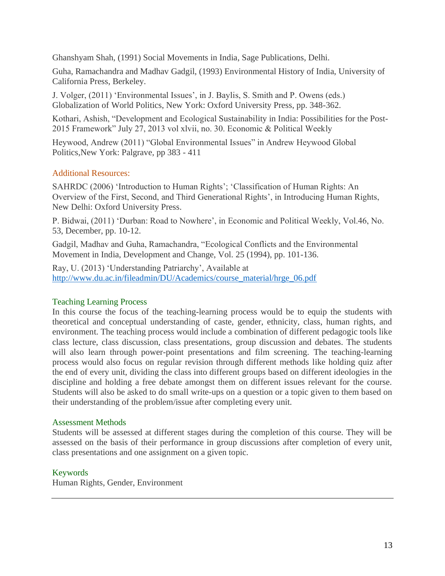Ghanshyam Shah, (1991) Social Movements in India, Sage Publications, Delhi.

Guha, Ramachandra and Madhav Gadgil, (1993) Environmental History of India, University of California Press, Berkeley.

J. Volger, (2011) 'Environmental Issues', in J. Baylis, S. Smith and P. Owens (eds.) Globalization of World Politics, New York: Oxford University Press, pp. 348-362.

Kothari, Ashish, "Development and Ecological Sustainability in India: Possibilities for the Post-2015 Framework" July 27, 2013 vol xlvii, no. 30. Economic & Political Weekly

Heywood, Andrew (2011) "Global Environmental Issues" in Andrew Heywood Global Politics,New York: Palgrave, pp 383 - 411

### Additional Resources:

SAHRDC (2006) 'Introduction to Human Rights'; 'Classification of Human Rights: An Overview of the First, Second, and Third Generational Rights', in Introducing Human Rights, New Delhi: Oxford University Press.

P. Bidwai, (2011) 'Durban: Road to Nowhere', in Economic and Political Weekly, Vol.46, No. 53, December, pp. 10-12.

Gadgil, Madhav and Guha, Ramachandra, "Ecological Conflicts and the Environmental Movement in India, Development and Change, Vol. 25 (1994), pp. 101-136.

Ray, U. (2013) 'Understanding Patriarchy', Available at [http://www.du.ac.in/fileadmin/DU/Academics/course\\_material/hrge\\_06.pdf](http://www.du.ac.in/fileadmin/DU/Academics/course_material/hrge_06.pdf)

### Teaching Learning Process

In this course the focus of the teaching-learning process would be to equip the students with theoretical and conceptual understanding of caste, gender, ethnicity, class, human rights, and environment. The teaching process would include a combination of different pedagogic tools like class lecture, class discussion, class presentations, group discussion and debates. The students will also learn through power-point presentations and film screening. The teaching-learning process would also focus on regular revision through different methods like holding quiz after the end of every unit, dividing the class into different groups based on different ideologies in the discipline and holding a free debate amongst them on different issues relevant for the course. Students will also be asked to do small write-ups on a question or a topic given to them based on their understanding of the problem/issue after completing every unit.

### Assessment Methods

Students will be assessed at different stages during the completion of this course. They will be assessed on the basis of their performance in group discussions after completion of every unit, class presentations and one assignment on a given topic.

### Keywords

Human Rights, Gender, Environment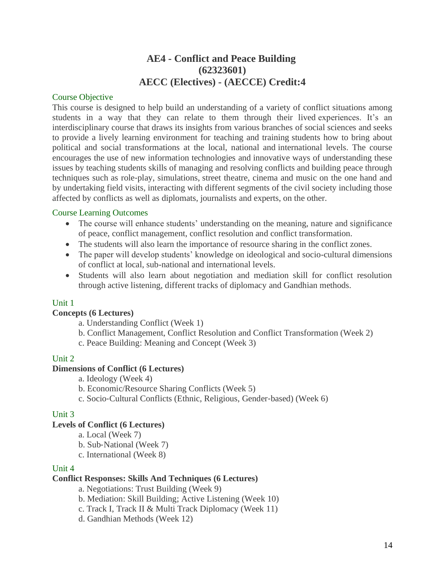### **AE4 - Conflict and Peace Building (62323601) AECC (Electives) - (AECCE) Credit:4**

### Course Objective

This course is designed to help build an understanding of a variety of conflict situations among students in a way that they can relate to them through their lived experiences. It's an interdisciplinary course that draws its insights from various branches of social sciences and seeks to provide a lively learning environment for teaching and training students how to bring about political and social transformations at the local, national and international levels. The course encourages the use of new information technologies and innovative ways of understanding these issues by teaching students skills of managing and resolving conflicts and building peace through techniques such as role‐play, simulations, street theatre, cinema and music on the one hand and by undertaking field visits, interacting with different segments of the civil society including those affected by conflicts as well as diplomats, journalists and experts, on the other.

### Course Learning Outcomes

- The course will enhance students' understanding on the meaning, nature and significance of peace, conflict management, conflict resolution and conflict transformation.
- The students will also learn the importance of resource sharing in the conflict zones.
- The paper will develop students' knowledge on ideological and socio-cultural dimensions of conflict at local, sub-national and international levels.
- Students will also learn about negotiation and mediation skill for conflict resolution through active listening, different tracks of diplomacy and Gandhian methods.

### Unit 1

### **Concepts (6 Lectures)**

- a. Understanding Conflict (Week 1)
- b. Conflict Management, Conflict Resolution and Conflict Transformation (Week 2)
- c. Peace Building: Meaning and Concept (Week 3)

### Unit 2

### **Dimensions of Conflict (6 Lectures)**

- a. Ideology (Week 4)
- b. Economic/Resource Sharing Conflicts (Week 5)
- c. Socio‐Cultural Conflicts (Ethnic, Religious, Gender‐based) (Week 6)

### Unit 3

### **Levels of Conflict (6 Lectures)**

- a. Local (Week 7)
- b. Sub‐National (Week 7)
- c. International (Week 8)

### Unit 4

### **Conflict Responses: Skills And Techniques (6 Lectures)**

- a. Negotiations: Trust Building (Week 9)
- b. Mediation: Skill Building; Active Listening (Week 10)
- c. Track I, Track II & Multi Track Diplomacy (Week 11)
- d. Gandhian Methods (Week 12)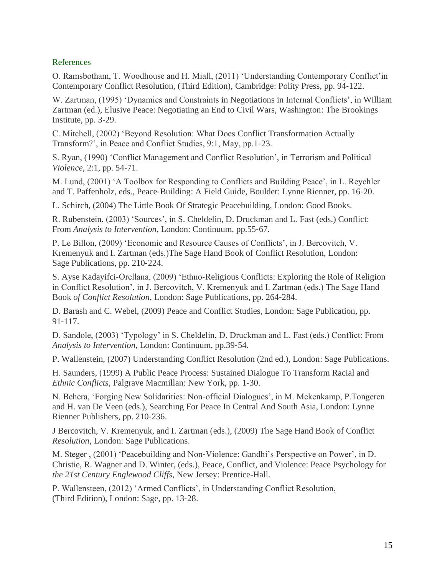### References

O. Ramsbotham, T. Woodhouse and H. Miall, (2011) 'Understanding Contemporary Conflict'in Contemporary Conflict Resolution, (Third Edition), Cambridge: Polity Press, pp. 94‐122.

W. Zartman, (1995) 'Dynamics and Constraints in Negotiations in Internal Conflicts', in William Zartman (ed.), Elusive Peace: Negotiating an End to Civil Wars, Washington: The Brookings Institute, pp. 3‐29.

C. Mitchell, (2002) 'Beyond Resolution: What Does Conflict Transformation Actually Transform?', in Peace and Conflict Studies, 9:1, May, pp.1‐23.

S. Ryan, (1990) 'Conflict Management and Conflict Resolution', in Terrorism and Political *Violence*, 2:1, pp. 54‐71.

M. Lund, (2001) 'A Toolbox for Responding to Conflicts and Building Peace', in L. Reychler and T. Paffenholz, eds., Peace‐Building: A Field Guide, Boulder: Lynne Rienner, pp. 16‐20.

L. Schirch, (2004) The Little Book Of Strategic Peacebuilding, London: Good Books.

R. Rubenstein, (2003) 'Sources', in S. Cheldelin, D. Druckman and L. Fast (eds.) Conflict: From *Analysis to Intervention*, London: Continuum, pp.55‐67.

P. Le Billon, (2009) 'Economic and Resource Causes of Conflicts', in J. Bercovitch, V. Kremenyuk and I. Zartman (eds.)The Sage Hand Book of Conflict Resolution, London: Sage Publications, pp. 210‐224.

S. Ayse Kadayifci‐Orellana, (2009) 'Ethno‐Religious Conflicts: Exploring the Role of Religion in Conflict Resolution', in J. Bercovitch, V. Kremenyuk and I. Zartman (eds.) The Sage Hand Book *of Conflict Resolution*, London: Sage Publications, pp. 264‐284.

D. Barash and C. Webel, (2009) Peace and Conflict Studies, London: Sage Publication, pp. 91‐117.

D. Sandole, (2003) 'Typology' in S. Cheldelin, D. Druckman and L. Fast (eds.) Conflict: From *Analysis to Intervention*, London: Continuum, pp.39‐54.

P. Wallenstein, (2007) Understanding Conflict Resolution (2nd ed.), London: Sage Publications.

H. Saunders, (1999) A Public Peace Process: Sustained Dialogue To Transform Racial and *Ethnic Conflicts,* Palgrave Macmillan: New York, pp. 1‐30.

N. Behera, 'Forging New Solidarities: Non‐official Dialogues', in M. Mekenkamp, P.Tongeren and H. van De Veen (eds.), Searching For Peace In Central And South Asia, London: Lynne Rienner Publishers, pp. 210‐236.

J Bercovitch, V. Kremenyuk, and I. Zartman (eds.), (2009) The Sage Hand Book of Conflict *Resolution*, London: Sage Publications.

M. Steger , (2001) 'Peacebuilding and Non‐Violence: Gandhi's Perspective on Power', in D. Christie, R. Wagner and D. Winter, (eds.), Peace, Conflict, and Violence: Peace Psychology for *the 21st Century Englewood Cliffs,* New Jersey: Prentice-Hall.

P. Wallensteen, (2012) 'Armed Conflicts', in Understanding Conflict Resolution, (Third Edition), London: Sage, pp. 13‐28.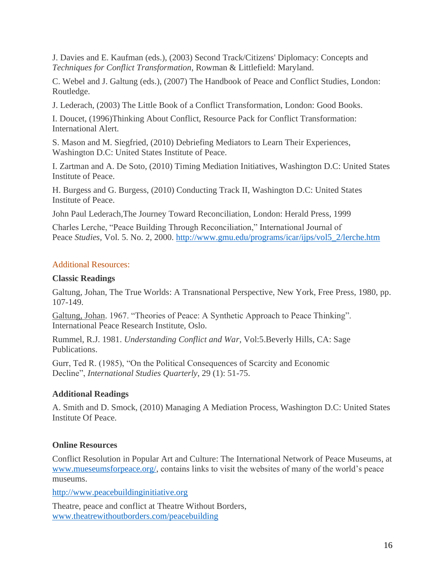J. Davies and E. Kaufman (eds.), (2003) Second Track/Citizens' Diplomacy: Concepts and *Techniques for Conflict Transformation*, Rowman & Littlefield: Maryland.

C. Webel and J. Galtung (eds.), (2007) The Handbook of Peace and Conflict Studies, London: Routledge.

J. Lederach, (2003) The Little Book of a Conflict Transformation, London: Good Books.

I. Doucet, (1996)Thinking About Conflict, Resource Pack for Conflict Transformation: International Alert.

S. Mason and M. Siegfried, (2010) Debriefing Mediators to Learn Their Experiences, Washington D.C: United States Institute of Peace.

I. Zartman and A. De Soto, (2010) Timing Mediation Initiatives, Washington D.C: United States Institute of Peace.

H. Burgess and G. Burgess, (2010) Conducting Track II, Washington D.C: United States Institute of Peace.

John Paul Lederach,The Journey Toward Reconciliation, London: Herald Press, 1999

Charles Lerche, "Peace Building Through Reconciliation," International Journal of Peace *Studies,* Vol. 5. No. 2, 2000. [http://www.gmu.edu/programs/icar/ijps/vol5\\_2/lerche.htm](http://www.gmu.edu/programs/icar/ijps/vol5_2/lerche.htm)

### Additional Resources:

#### **Classic Readings**

Galtung, Johan, The True Worlds: A Transnational Perspective, New York, Free Press, 1980, pp. 107-149.

Galtung, Johan. 1967. "Theories of Peace: A Synthetic Approach to Peace Thinking". International Peace Research Institute, Oslo.

Rummel, R.J. 1981. *Understanding Conflict and War,* Vol:5.Beverly Hills, CA: Sage Publications.

Gurr, Ted R. (1985), "On the Political Consequences of Scarcity and Economic Decline", *International Studies Quarterly*, 29 (1): 51-75.

### **Additional Readings**

A. Smith and D. Smock, (2010) Managing A Mediation Process, Washington D.C: United States Institute Of Peace.

### **Online Resources**

Conflict Resolution in Popular Art and Culture: The International Network of Peace Museums, at [www.mueseumsforpeace.org/,](http://www.mueseumsforpeace.org/) contains links to visit the websites of many of the world's peace museums.

[http://www.peacebuildinginitiative.org](http://www.peacebuildinginitiative.org/)

Theatre, peace and conflict at Theatre Without Borders, [www.theatrewithoutborders.com/peacebuilding](http://www.theatrewithoutborders.com/peacebuilding)